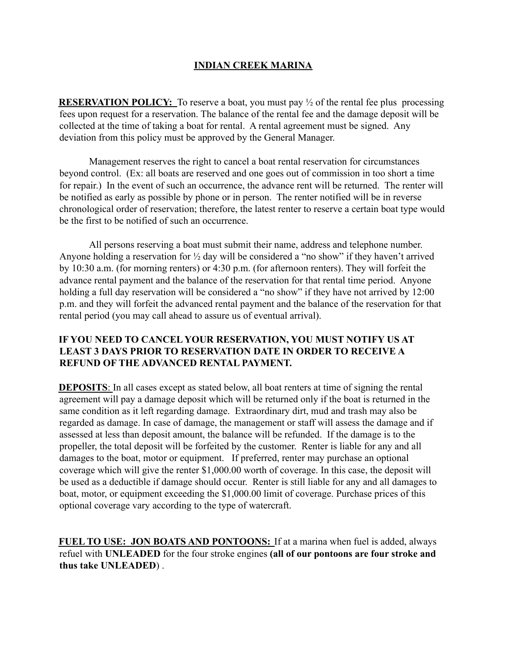## **INDIAN CREEK MARINA**

**RESERVATION POLICY:** To reserve a boat, you must pay  $\frac{1}{2}$  of the rental fee plus processing fees upon request for a reservation. The balance of the rental fee and the damage deposit will be collected at the time of taking a boat for rental. A rental agreement must be signed. Any deviation from this policy must be approved by the General Manager.

Management reserves the right to cancel a boat rental reservation for circumstances beyond control. (Ex: all boats are reserved and one goes out of commission in too short a time for repair.) In the event of such an occurrence, the advance rent will be returned. The renter will be notified as early as possible by phone or in person. The renter notified will be in reverse chronological order of reservation; therefore, the latest renter to reserve a certain boat type would be the first to be notified of such an occurrence.

All persons reserving a boat must submit their name, address and telephone number. Anyone holding a reservation for ½ day will be considered a "no show" if they haven't arrived by 10:30 a.m. (for morning renters) or 4:30 p.m. (for afternoon renters). They will forfeit the advance rental payment and the balance of the reservation for that rental time period. Anyone holding a full day reservation will be considered a "no show" if they have not arrived by 12:00 p.m. and they will forfeit the advanced rental payment and the balance of the reservation for that rental period (you may call ahead to assure us of eventual arrival).

## **IF YOU NEED TO CANCEL YOUR RESERVATION, YOU MUST NOTIFY US AT LEAST 3 DAYS PRIOR TO RESERVATION DATE IN ORDER TO RECEIVE A REFUND OF THE ADVANCED RENTAL PAYMENT.**

**DEPOSITS**: In all cases except as stated below, all boat renters at time of signing the rental agreement will pay a damage deposit which will be returned only if the boat is returned in the same condition as it left regarding damage. Extraordinary dirt, mud and trash may also be regarded as damage. In case of damage, the management or staff will assess the damage and if assessed at less than deposit amount, the balance will be refunded. If the damage is to the propeller, the total deposit will be forfeited by the customer. Renter is liable for any and all damages to the boat, motor or equipment. If preferred, renter may purchase an optional coverage which will give the renter \$1,000.00 worth of coverage. In this case, the deposit will be used as a deductible if damage should occur. Renter is still liable for any and all damages to boat, motor, or equipment exceeding the \$1,000.00 limit of coverage. Purchase prices of this optional coverage vary according to the type of watercraft.

**FUEL TO USE: JON BOATS AND PONTOONS:** If at a marina when fuel is added, always refuel with **UNLEADED** for the four stroke engines **(all of our pontoons are four stroke and thus take UNLEADED**) .